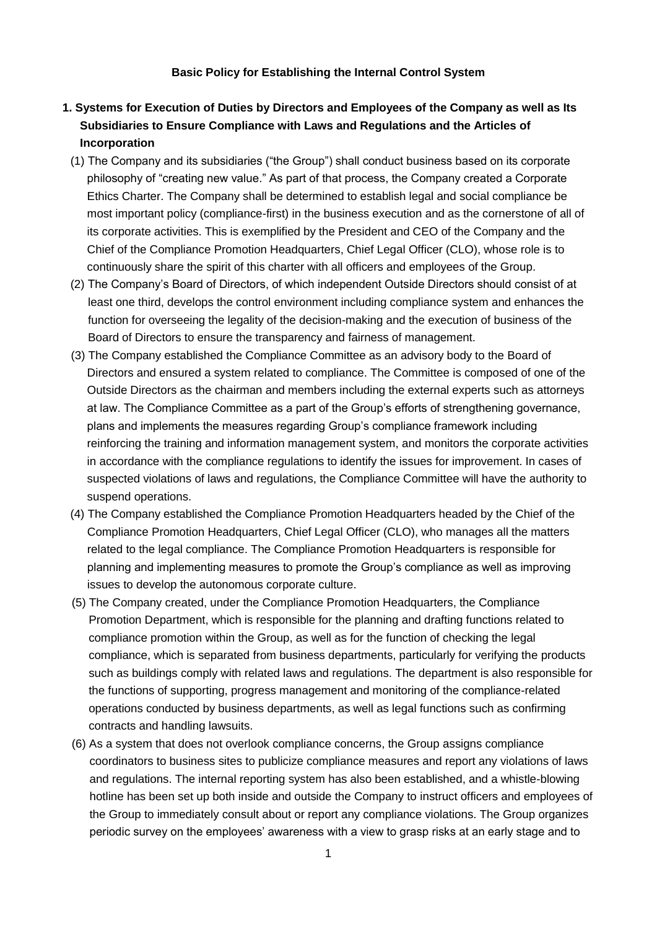#### **Basic Policy for Establishing the Internal Control System**

# **1. Systems for Execution of Duties by Directors and Employees of the Company as well as Its Subsidiaries to Ensure Compliance with Laws and Regulations and the Articles of Incorporation**

- (1) The Company and its subsidiaries ("the Group") shall conduct business based on its corporate philosophy of "creating new value." As part of that process, the Company created a Corporate Ethics Charter. The Company shall be determined to establish legal and social compliance be most important policy (compliance-first) in the business execution and as the cornerstone of all of its corporate activities. This is exemplified by the President and CEO of the Company and the Chief of the Compliance Promotion Headquarters, Chief Legal Officer (CLO), whose role is to continuously share the spirit of this charter with all officers and employees of the Group.
- (2) The Company's Board of Directors, of which independent Outside Directors should consist of at least one third, develops the control environment including compliance system and enhances the function for overseeing the legality of the decision-making and the execution of business of the Board of Directors to ensure the transparency and fairness of management.
- (3) The Company established the Compliance Committee as an advisory body to the Board of Directors and ensured a system related to compliance. The Committee is composed of one of the Outside Directors as the chairman and members including the external experts such as attorneys at law. The Compliance Committee as a part of the Group's efforts of strengthening governance, plans and implements the measures regarding Group's compliance framework including reinforcing the training and information management system, and monitors the corporate activities in accordance with the compliance regulations to identify the issues for improvement. In cases of suspected violations of laws and regulations, the Compliance Committee will have the authority to suspend operations.
- (4) The Company established the Compliance Promotion Headquarters headed by the Chief of the Compliance Promotion Headquarters, Chief Legal Officer (CLO), who manages all the matters related to the legal compliance. The Compliance Promotion Headquarters is responsible for planning and implementing measures to promote the Group's compliance as well as improving issues to develop the autonomous corporate culture.
- (5) The Company created, under the Compliance Promotion Headquarters, the Compliance Promotion Department, which is responsible for the planning and drafting functions related to compliance promotion within the Group, as well as for the function of checking the legal compliance, which is separated from business departments, particularly for verifying the products such as buildings comply with related laws and regulations. The department is also responsible for the functions of supporting, progress management and monitoring of the compliance-related operations conducted by business departments, as well as legal functions such as confirming contracts and handling lawsuits.
- (6) As a system that does not overlook compliance concerns, the Group assigns compliance coordinators to business sites to publicize compliance measures and report any violations of laws and regulations. The internal reporting system has also been established, and a whistle-blowing hotline has been set up both inside and outside the Company to instruct officers and employees of the Group to immediately consult about or report any compliance violations. The Group organizes periodic survey on the employees' awareness with a view to grasp risks at an early stage and to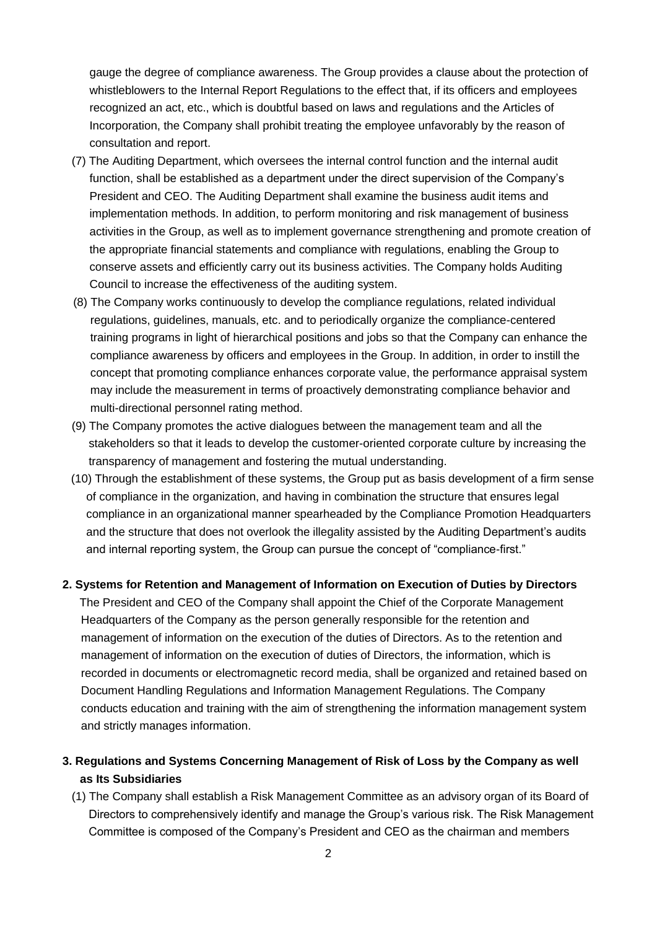gauge the degree of compliance awareness. The Group provides a clause about the protection of whistleblowers to the Internal Report Regulations to the effect that, if its officers and employees recognized an act, etc., which is doubtful based on laws and regulations and the Articles of Incorporation, the Company shall prohibit treating the employee unfavorably by the reason of consultation and report.

- (7) The Auditing Department, which oversees the internal control function and the internal audit function, shall be established as a department under the direct supervision of the Company's President and CEO. The Auditing Department shall examine the business audit items and implementation methods. In addition, to perform monitoring and risk management of business activities in the Group, as well as to implement governance strengthening and promote creation of the appropriate financial statements and compliance with regulations, enabling the Group to conserve assets and efficiently carry out its business activities. The Company holds Auditing Council to increase the effectiveness of the auditing system.
- (8) The Company works continuously to develop the compliance regulations, related individual regulations, guidelines, manuals, etc. and to periodically organize the compliance-centered training programs in light of hierarchical positions and jobs so that the Company can enhance the compliance awareness by officers and employees in the Group. In addition, in order to instill the concept that promoting compliance enhances corporate value, the performance appraisal system may include the measurement in terms of proactively demonstrating compliance behavior and multi-directional personnel rating method.
- (9) The Company promotes the active dialogues between the management team and all the stakeholders so that it leads to develop the customer-oriented corporate culture by increasing the transparency of management and fostering the mutual understanding.
- (10) Through the establishment of these systems, the Group put as basis development of a firm sense of compliance in the organization, and having in combination the structure that ensures legal compliance in an organizational manner spearheaded by the Compliance Promotion Headquarters and the structure that does not overlook the illegality assisted by the Auditing Department's audits and internal reporting system, the Group can pursue the concept of "compliance-first."

### **2. Systems for Retention and Management of Information on Execution of Duties by Directors**

The President and CEO of the Company shall appoint the Chief of the Corporate Management Headquarters of the Company as the person generally responsible for the retention and management of information on the execution of the duties of Directors. As to the retention and management of information on the execution of duties of Directors, the information, which is recorded in documents or electromagnetic record media, shall be organized and retained based on Document Handling Regulations and Information Management Regulations. The Company conducts education and training with the aim of strengthening the information management system and strictly manages information.

## **3. Regulations and Systems Concerning Management of Risk of Loss by the Company as well as Its Subsidiaries**

(1) The Company shall establish a Risk Management Committee as an advisory organ of its Board of Directors to comprehensively identify and manage the Group's various risk. The Risk Management Committee is composed of the Company's President and CEO as the chairman and members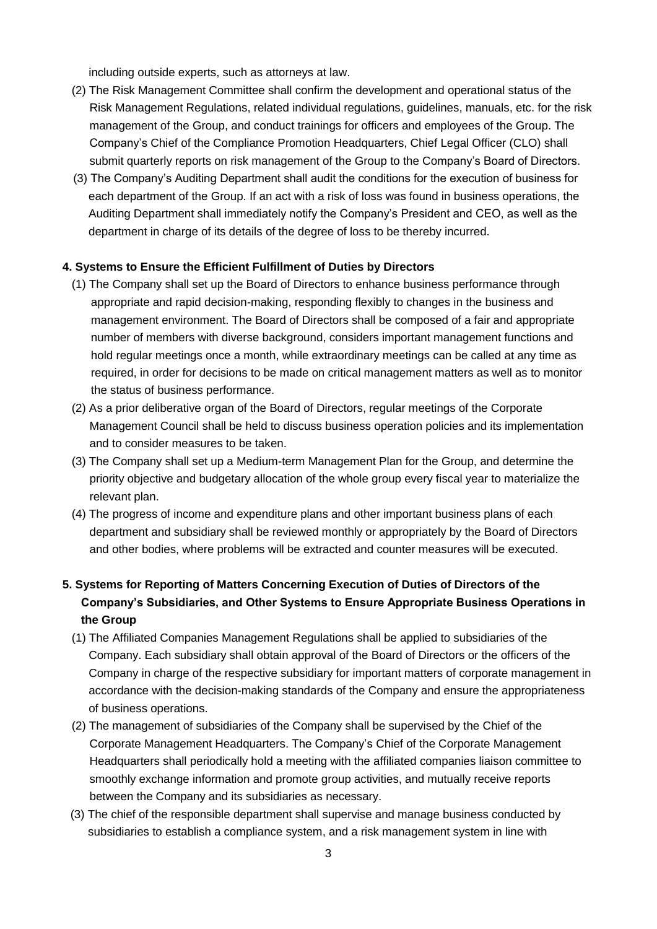including outside experts, such as attorneys at law.

- (2) The Risk Management Committee shall confirm the development and operational status of the Risk Management Regulations, related individual regulations, guidelines, manuals, etc. for the risk management of the Group, and conduct trainings for officers and employees of the Group. The Company's Chief of the Compliance Promotion Headquarters, Chief Legal Officer (CLO) shall submit quarterly reports on risk management of the Group to the Company's Board of Directors.
- (3) The Company's Auditing Department shall audit the conditions for the execution of business for each department of the Group. If an act with a risk of loss was found in business operations, the Auditing Department shall immediately notify the Company's President and CEO, as well as the department in charge of its details of the degree of loss to be thereby incurred.

### **4. Systems to Ensure the Efficient Fulfillment of Duties by Directors**

- (1) The Company shall set up the Board of Directors to enhance business performance through appropriate and rapid decision-making, responding flexibly to changes in the business and management environment. The Board of Directors shall be composed of a fair and appropriate number of members with diverse background, considers important management functions and hold regular meetings once a month, while extraordinary meetings can be called at any time as required, in order for decisions to be made on critical management matters as well as to monitor the status of business performance.
- (2) As a prior deliberative organ of the Board of Directors, regular meetings of the Corporate Management Council shall be held to discuss business operation policies and its implementation and to consider measures to be taken.
- (3) The Company shall set up a Medium-term Management Plan for the Group, and determine the priority objective and budgetary allocation of the whole group every fiscal year to materialize the relevant plan.
- (4) The progress of income and expenditure plans and other important business plans of each department and subsidiary shall be reviewed monthly or appropriately by the Board of Directors and other bodies, where problems will be extracted and counter measures will be executed.
- **5. Systems for Reporting of Matters Concerning Execution of Duties of Directors of the Company's Subsidiaries, and Other Systems to Ensure Appropriate Business Operations in the Group**
	- (1) The Affiliated Companies Management Regulations shall be applied to subsidiaries of the Company. Each subsidiary shall obtain approval of the Board of Directors or the officers of the Company in charge of the respective subsidiary for important matters of corporate management in accordance with the decision-making standards of the Company and ensure the appropriateness of business operations.
	- (2) The management of subsidiaries of the Company shall be supervised by the Chief of the Corporate Management Headquarters. The Company's Chief of the Corporate Management Headquarters shall periodically hold a meeting with the affiliated companies liaison committee to smoothly exchange information and promote group activities, and mutually receive reports between the Company and its subsidiaries as necessary.
	- (3) The chief of the responsible department shall supervise and manage business conducted by subsidiaries to establish a compliance system, and a risk management system in line with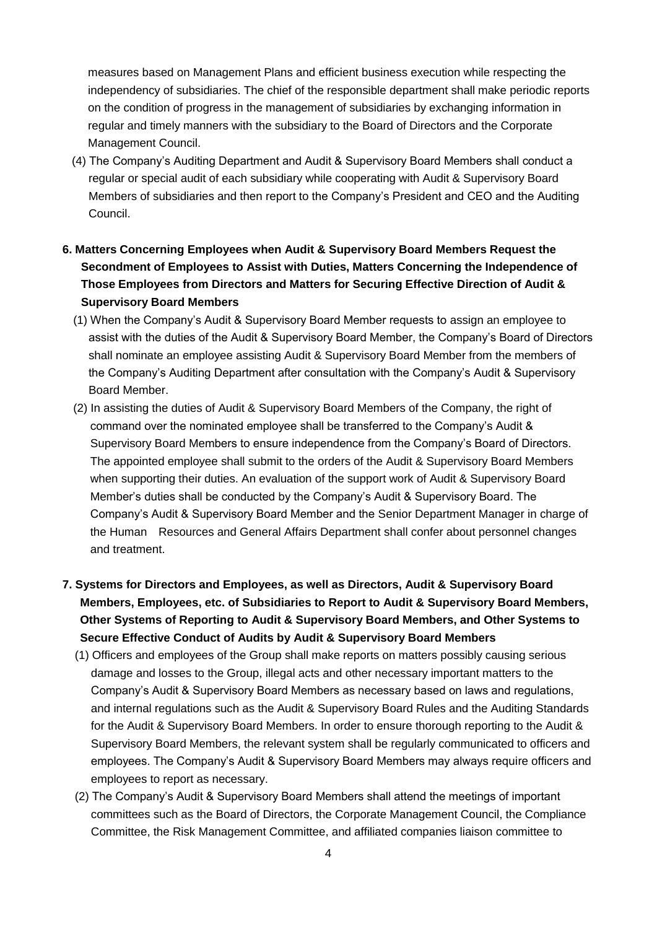measures based on Management Plans and efficient business execution while respecting the independency of subsidiaries. The chief of the responsible department shall make periodic reports on the condition of progress in the management of subsidiaries by exchanging information in regular and timely manners with the subsidiary to the Board of Directors and the Corporate Management Council.

- (4) The Company's Auditing Department and Audit & Supervisory Board Members shall conduct a regular or special audit of each subsidiary while cooperating with Audit & Supervisory Board Members of subsidiaries and then report to the Company's President and CEO and the Auditing Council.
- **6. Matters Concerning Employees when Audit & Supervisory Board Members Request the Secondment of Employees to Assist with Duties, Matters Concerning the Independence of Those Employees from Directors and Matters for Securing Effective Direction of Audit & Supervisory Board Members**
	- (1) When the Company's Audit & Supervisory Board Member requests to assign an employee to assist with the duties of the Audit & Supervisory Board Member, the Company's Board of Directors shall nominate an employee assisting Audit & Supervisory Board Member from the members of the Company's Auditing Department after consultation with the Company's Audit & Supervisory Board Member.
	- (2) In assisting the duties of Audit & Supervisory Board Members of the Company, the right of command over the nominated employee shall be transferred to the Company's Audit & Supervisory Board Members to ensure independence from the Company's Board of Directors. The appointed employee shall submit to the orders of the Audit & Supervisory Board Members when supporting their duties. An evaluation of the support work of Audit & Supervisory Board Member's duties shall be conducted by the Company's Audit & Supervisory Board. The Company's Audit & Supervisory Board Member and the Senior Department Manager in charge of the Human Resources and General Affairs Department shall confer about personnel changes and treatment.
- **7. Systems for Directors and Employees, as well as Directors, Audit & Supervisory Board Members, Employees, etc. of Subsidiaries to Report to Audit & Supervisory Board Members, Other Systems of Reporting to Audit & Supervisory Board Members, and Other Systems to Secure Effective Conduct of Audits by Audit & Supervisory Board Members**
	- (1) Officers and employees of the Group shall make reports on matters possibly causing serious damage and losses to the Group, illegal acts and other necessary important matters to the Company's Audit & Supervisory Board Members as necessary based on laws and regulations, and internal regulations such as the Audit & Supervisory Board Rules and the Auditing Standards for the Audit & Supervisory Board Members. In order to ensure thorough reporting to the Audit & Supervisory Board Members, the relevant system shall be regularly communicated to officers and employees. The Company's Audit & Supervisory Board Members may always require officers and employees to report as necessary.
	- (2) The Company's Audit & Supervisory Board Members shall attend the meetings of important committees such as the Board of Directors, the Corporate Management Council, the Compliance Committee, the Risk Management Committee, and affiliated companies liaison committee to